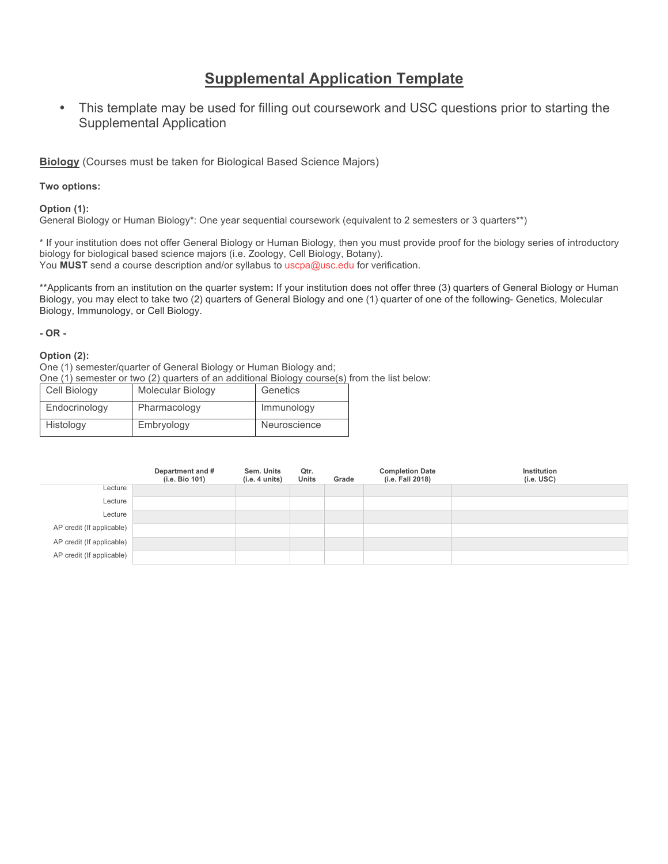# **Supplemental Application Template**

• This template may be used for filling out coursework and USC questions prior to starting the Supplemental Application

**Biology** (Courses must be taken for Biological Based Science Majors)

**Two options:**

**Option (1):**

General Biology or Human Biology\*: One year sequential coursework (equivalent to 2 semesters or 3 quarters\*\*)

\* If your institution does not offer General Biology or Human Biology, then you must provide proof for the biology series of introductory biology for biological based science majors (i.e. Zoology, Cell Biology, Botany). You **MUST** send a course description and/or syllabus to uscpa@usc.edu for verification.

\*\*Applicants from an institution on the quarter system**:** If your institution does not offer three (3) quarters of General Biology or Human Biology, you may elect to take two (2) quarters of General Biology and one (1) quarter of one of the following- Genetics, Molecular Biology, Immunology, or Cell Biology.

### **- OR -**

### **Option (2):**

One (1) semester/quarter of General Biology or Human Biology and;

One (1) semester or two (2) quarters of an additional Biology course(s) from the list below:

| Cell Biology  | Molecular Biology | Genetics     |
|---------------|-------------------|--------------|
| Endocrinology | Pharmacology      | Immunology   |
| Histology     | Embryology        | Neuroscience |

|                           | Department and #<br>(i.e. Bio 101) | Sem. Units<br>(i.e. 4 units) | Qtr.<br>Units | Grade | <b>Completion Date</b><br>(i.e. Fall 2018) | Institution<br>$(i.e.$ USC $)$ |
|---------------------------|------------------------------------|------------------------------|---------------|-------|--------------------------------------------|--------------------------------|
| Lecture                   |                                    |                              |               |       |                                            |                                |
| Lecture                   |                                    |                              |               |       |                                            |                                |
| Lecture                   |                                    |                              |               |       |                                            |                                |
| AP credit (If applicable) |                                    |                              |               |       |                                            |                                |
| AP credit (If applicable) |                                    |                              |               |       |                                            |                                |
| AP credit (If applicable) |                                    |                              |               |       |                                            |                                |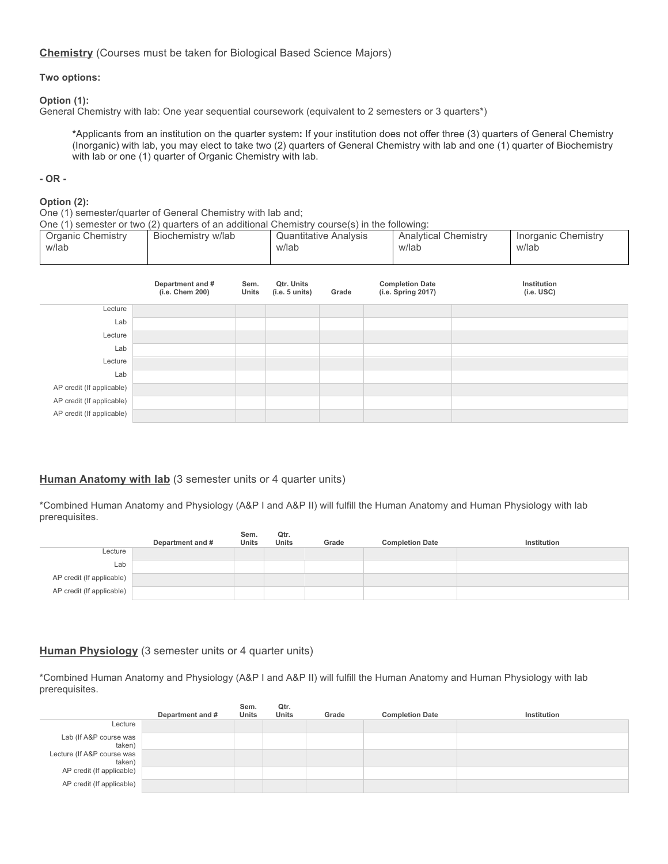### **Chemistry** (Courses must be taken for Biological Based Science Majors)

### **Two options:**

### **Option (1):**

General Chemistry with lab: One year sequential coursework (equivalent to 2 semesters or 3 quarters\*)

**\***Applicants from an institution on the quarter system**:** If your institution does not offer three (3) quarters of General Chemistry (Inorganic) with lab, you may elect to take two (2) quarters of General Chemistry with lab and one (1) quarter of Biochemistry with lab or one (1) quarter of Organic Chemistry with lab.

### **- OR -**

### **Option (2):**

One (1) semester/quarter of General Chemistry with lab and;

One (1) semester or two (2) quarters of an additional Chemistry course(s) in the following:

| <b>Organic Chemistry</b><br>w/lab | Biochemistry w/lab                  |               | w/lab                        | <b>Quantitative Analysis</b> | <b>Analytical Chemistry</b><br>w/lab         | <b>Inorganic Chemistry</b><br>w/lab |
|-----------------------------------|-------------------------------------|---------------|------------------------------|------------------------------|----------------------------------------------|-------------------------------------|
|                                   | Department and #<br>(i.e. Chem 200) | Sem.<br>Units | Qtr. Units<br>(i.e. 5 units) | Grade                        | <b>Completion Date</b><br>(i.e. Spring 2017) | Institution<br>$(i.e.$ USC $)$      |
| Lecture                           |                                     |               |                              |                              |                                              |                                     |
| Lab                               |                                     |               |                              |                              |                                              |                                     |
| Lecture                           |                                     |               |                              |                              |                                              |                                     |
| Lab                               |                                     |               |                              |                              |                                              |                                     |
| Lecture                           |                                     |               |                              |                              |                                              |                                     |
| Lab                               |                                     |               |                              |                              |                                              |                                     |
| AP credit (If applicable)         |                                     |               |                              |                              |                                              |                                     |
| AP credit (If applicable)         |                                     |               |                              |                              |                                              |                                     |
| AP credit (If applicable)         |                                     |               |                              |                              |                                              |                                     |

### **Human Anatomy with lab** (3 semester units or 4 quarter units)

\*Combined Human Anatomy and Physiology (A&P I and A&P II) will fulfill the Human Anatomy and Human Physiology with lab prerequisites.

|                           |                  | Sem.         | Qtr.         |       |                        |             |
|---------------------------|------------------|--------------|--------------|-------|------------------------|-------------|
|                           | Department and # | <b>Units</b> | <b>Units</b> | Grade | <b>Completion Date</b> | Institution |
| Lecture                   |                  |              |              |       |                        |             |
| Lab                       |                  |              |              |       |                        |             |
| AP credit (If applicable) |                  |              |              |       |                        |             |
| AP credit (If applicable) |                  |              |              |       |                        |             |

### **Human Physiology** (3 semester units or 4 quarter units)

\*Combined Human Anatomy and Physiology (A&P I and A&P II) will fulfill the Human Anatomy and Human Physiology with lab prerequisites.

|                                      | Department and # | Sem.<br><b>Units</b> | Qtr.<br><b>Units</b> | Grade | <b>Completion Date</b> | Institution |
|--------------------------------------|------------------|----------------------|----------------------|-------|------------------------|-------------|
| Lecture                              |                  |                      |                      |       |                        |             |
| Lab (If A&P course was<br>taken)     |                  |                      |                      |       |                        |             |
| Lecture (If A&P course was<br>taken) |                  |                      |                      |       |                        |             |
| AP credit (If applicable)            |                  |                      |                      |       |                        |             |
| AP credit (If applicable)            |                  |                      |                      |       |                        |             |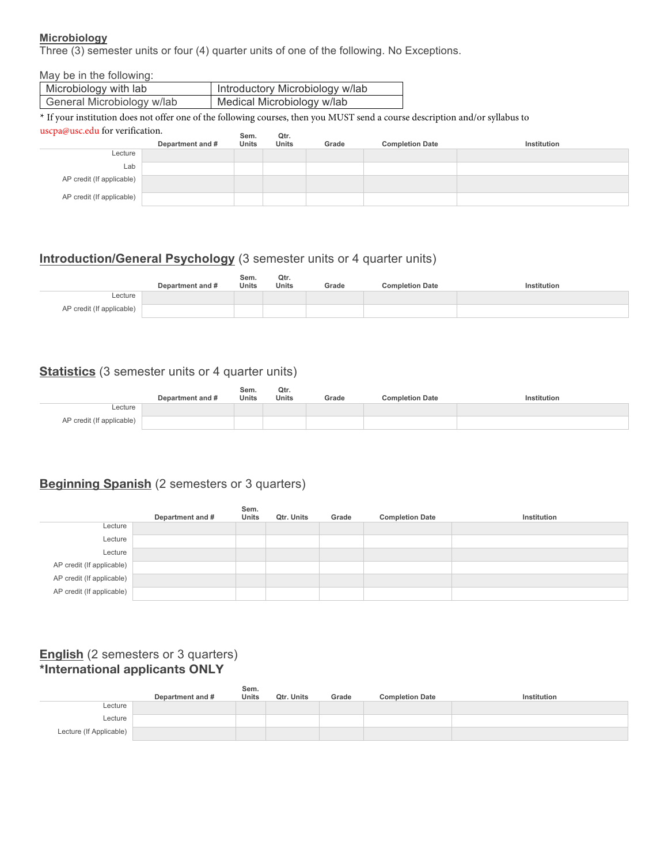## **Microbiology**

Three (3) semester units or four (4) quarter units of one of the following. No Exceptions.

| May be in the following:                                                                                                                                         |                  |       |       |                                 |                        |             |  |
|------------------------------------------------------------------------------------------------------------------------------------------------------------------|------------------|-------|-------|---------------------------------|------------------------|-------------|--|
| Microbiology with lab                                                                                                                                            |                  |       |       | Introductory Microbiology w/lab |                        |             |  |
| General Microbiology w/lab                                                                                                                                       |                  |       |       | Medical Microbiology w/lab      |                        |             |  |
| * If your institution does not offer one of the following courses, then you MUST send a course description and/or syllabus to<br>uscpa@usc.edu for verification. |                  |       |       |                                 |                        |             |  |
|                                                                                                                                                                  |                  | Sem.  | Qtr.  |                                 |                        |             |  |
| Lecture                                                                                                                                                          | Department and # | Units | Units | Grade                           | <b>Completion Date</b> | Institution |  |
| Lab                                                                                                                                                              |                  |       |       |                                 |                        |             |  |
| AP credit (If applicable)                                                                                                                                        |                  |       |       |                                 |                        |             |  |

# **Introduction/General Psychology** (3 semester units or 4 quarter units)

|                           | Department and # | Sem.<br><b>Units</b> | Qtr.<br><b>Units</b> | Grade | <b>Completion Date</b> | Institution |
|---------------------------|------------------|----------------------|----------------------|-------|------------------------|-------------|
| ∟ecture                   |                  |                      |                      |       |                        |             |
| AP credit (If applicable) |                  |                      |                      |       |                        |             |

## **Statistics** (3 semester units or 4 quarter units)

|                           | Department and # | Sem.<br>Units | Qtr.<br><b>Units</b> | Grade | <b>Completion Date</b> | Institution |
|---------------------------|------------------|---------------|----------------------|-------|------------------------|-------------|
| ∟ecture                   |                  |               |                      |       |                        |             |
| AP credit (If applicable) |                  |               |                      |       |                        |             |

# **Beginning Spanish** (2 semesters or 3 quarters)

|                           | Department and # | Sem.<br>Units | <b>Qtr. Units</b> | Grade | <b>Completion Date</b> | Institution |
|---------------------------|------------------|---------------|-------------------|-------|------------------------|-------------|
| Lecture                   |                  |               |                   |       |                        |             |
| Lecture                   |                  |               |                   |       |                        |             |
| Lecture                   |                  |               |                   |       |                        |             |
| AP credit (If applicable) |                  |               |                   |       |                        |             |
| AP credit (If applicable) |                  |               |                   |       |                        |             |
| AP credit (If applicable) |                  |               |                   |       |                        |             |

# **English** (2 semesters or 3 quarters) **\*International applicants ONLY**

|                         | Department and # | Sem.<br>Units | Qtr. Units | Grade | <b>Completion Date</b> | Institution |
|-------------------------|------------------|---------------|------------|-------|------------------------|-------------|
| Lecture                 |                  |               |            |       |                        |             |
| Lecture                 |                  |               |            |       |                        |             |
| Lecture (If Applicable) |                  |               |            |       |                        |             |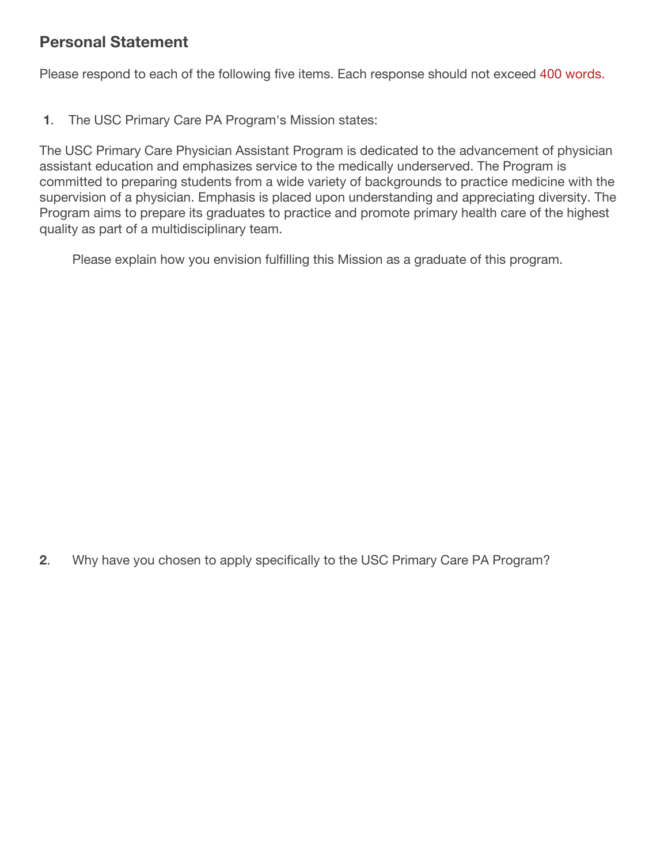# **Personal Statement**

Please respond to each of the following five items. Each response should not exceed 400 words.

**1**. The USC Primary Care PA Program's Mission states:

The USC Primary Care Physician Assistant Program is dedicated to the advancement of physician assistant education and emphasizes service to the medically underserved. The Program is committed to preparing students from a wide variety of backgrounds to practice medicine with the supervision of a physician. Emphasis is placed upon understanding and appreciating diversity. The Program aims to prepare its graduates to practice and promote primary health care of the highest quality as part of a multidisciplinary team.

Please explain how you envision fulfilling this Mission as a graduate of this program.

**2**. Why have you chosen to apply specifically to the USC Primary Care PA Program?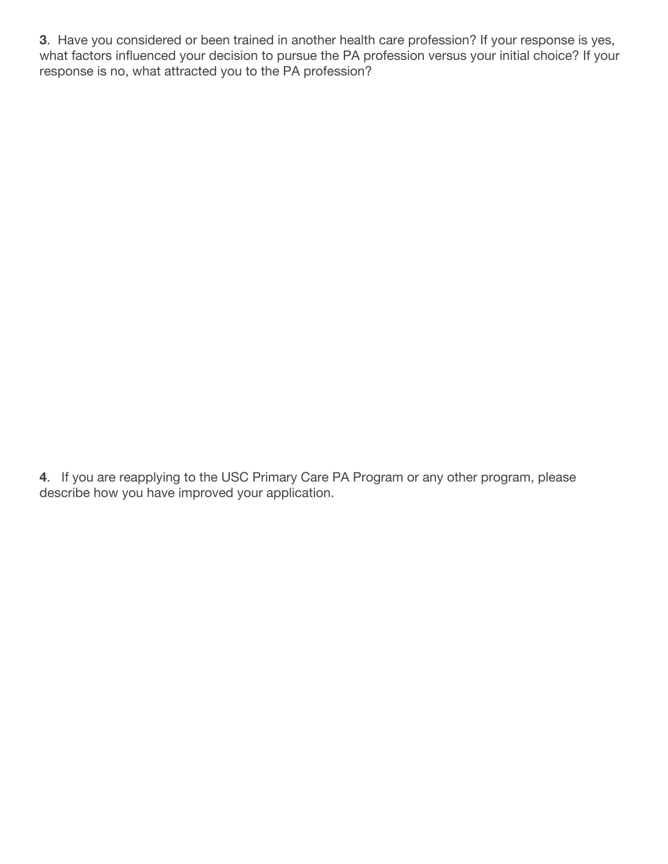**3**. Have you considered or been trained in another health care profession? If your response is yes, what factors influenced your decision to pursue the PA profession versus your initial choice? If your response is no, what attracted you to the PA profession?

**4**. If you are reapplying to the USC Primary Care PA Program or any other program, please describe how you have improved your application.